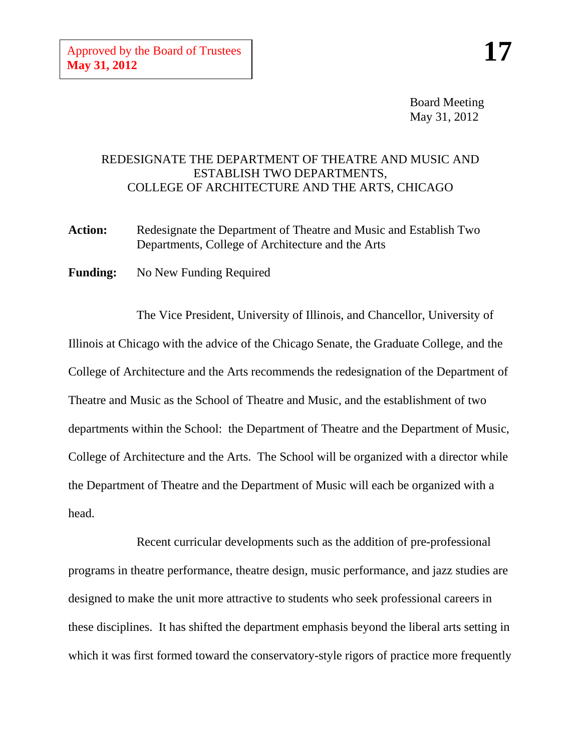Board Meeting May 31, 2012

## REDESIGNATE THE DEPARTMENT OF THEATRE AND MUSIC AND ESTABLISH TWO DEPARTMENTS, COLLEGE OF ARCHITECTURE AND THE ARTS, CHICAGO

Action: Redesignate the Department of Theatre and Music and Establish Two Departments, College of Architecture and the Arts

**Funding:** No New Funding Required

The Vice President, University of Illinois, and Chancellor, University of Illinois at Chicago with the advice of the Chicago Senate, the Graduate College, and the College of Architecture and the Arts recommends the redesignation of the Department of Theatre and Music as the School of Theatre and Music, and the establishment of two departments within the School: the Department of Theatre and the Department of Music, College of Architecture and the Arts. The School will be organized with a director while the Department of Theatre and the Department of Music will each be organized with a head.

Recent curricular developments such as the addition of pre-professional programs in theatre performance, theatre design, music performance, and jazz studies are designed to make the unit more attractive to students who seek professional careers in these disciplines. It has shifted the department emphasis beyond the liberal arts setting in which it was first formed toward the conservatory-style rigors of practice more frequently